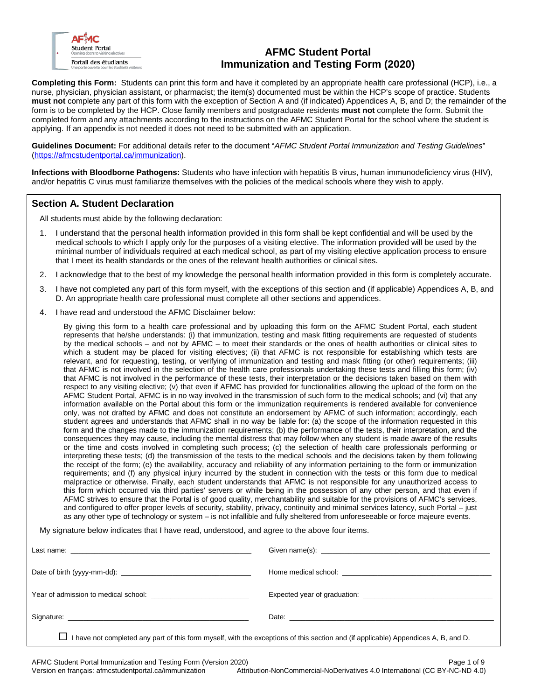

# **AFMC Student Portal Immunization and Testing Form (2020)**

**Completing this Form:** Students can print this form and have it completed by an appropriate health care professional (HCP), i.e., a nurse, physician, physician assistant, or pharmacist; the item(s) documented must be within the HCP's scope of practice. Students **must not** complete any part of this form with the exception of Section A and (if indicated) Appendices A, B, and D; the remainder of the form is to be completed by the HCP. Close family members and postgraduate residents **must not** complete the form. Submit the completed form and any attachments according to the instructions on the AFMC Student Portal for the school where the student is applying. If an appendix is not needed it does not need to be submitted with an application.

**Guidelines Document:** For additional details refer to the document "*AFMC Student Portal Immunization and Testing Guidelines*" (https://afmcstudentportal.ca/immunization).

**Infections with Bloodborne Pathogens:** Students who have infection with hepatitis B virus, human immunodeficiency virus (HIV), and/or hepatitis C virus must familiarize themselves with the policies of the medical schools where they wish to apply.

## **Section A. Student Declaration**

All students must abide by the following declaration:

- 1. I understand that the personal health information provided in this form shall be kept confidential and will be used by the medical schools to which I apply only for the purposes of a visiting elective. The information provided will be used by the minimal number of individuals required at each medical school, as part of my visiting elective application process to ensure that I meet its health standards or the ones of the relevant health authorities or clinical sites.
- 2. I acknowledge that to the best of my knowledge the personal health information provided in this form is completely accurate.
- 3. I have not completed any part of this form myself, with the exceptions of this section and (if applicable) Appendices A, B, and D. An appropriate health care professional must complete all other sections and appendices.
- 4. I have read and understood the AFMC Disclaimer below:

By giving this form to a health care professional and by uploading this form on the AFMC Student Portal, each student represents that he/she understands: (i) that immunization, testing and mask fitting requirements are requested of students by the medical schools – and not by AFMC – to meet their standards or the ones of health authorities or clinical sites to which a student may be placed for visiting electives; (ii) that AFMC is not responsible for establishing which tests are relevant, and for requesting, testing, or verifying of immunization and testing and mask fitting (or other) requirements; (iii) that AFMC is not involved in the selection of the health care professionals undertaking these tests and filling this form; (iv) that AFMC is not involved in the performance of these tests, their interpretation or the decisions taken based on them with respect to any visiting elective; (v) that even if AFMC has provided for functionalities allowing the upload of the form on the AFMC Student Portal, AFMC is in no way involved in the transmission of such form to the medical schools; and (vi) that any information available on the Portal about this form or the immunization requirements is rendered available for convenience only, was not drafted by AFMC and does not constitute an endorsement by AFMC of such information; accordingly, each student agrees and understands that AFMC shall in no way be liable for: (a) the scope of the information requested in this form and the changes made to the immunization requirements; (b) the performance of the tests, their interpretation, and the consequences they may cause, including the mental distress that may follow when any student is made aware of the results or the time and costs involved in completing such process; (c) the selection of health care professionals performing or interpreting these tests; (d) the transmission of the tests to the medical schools and the decisions taken by them following the receipt of the form; (e) the availability, accuracy and reliability of any information pertaining to the form or immunization requirements; and (f) any physical injury incurred by the student in connection with the tests or this form due to medical malpractice or otherwise. Finally, each student understands that AFMC is not responsible for any unauthorized access to this form which occurred via third parties' servers or while being in the possession of any other person, and that even if AFMC strives to ensure that the Portal is of good quality, merchantability and suitable for the provisions of AFMC's services, and configured to offer proper levels of security, stability, privacy, continuity and minimal services latency, such Portal – just as any other type of technology or system – is not infallible and fully sheltered from unforeseeable or force majeure events.

My signature below indicates that I have read, understood, and agree to the above four items.

| I have not completed any part of this form myself, with the exceptions of this section and (if applicable) Appendices A, B, and D. |  |
|------------------------------------------------------------------------------------------------------------------------------------|--|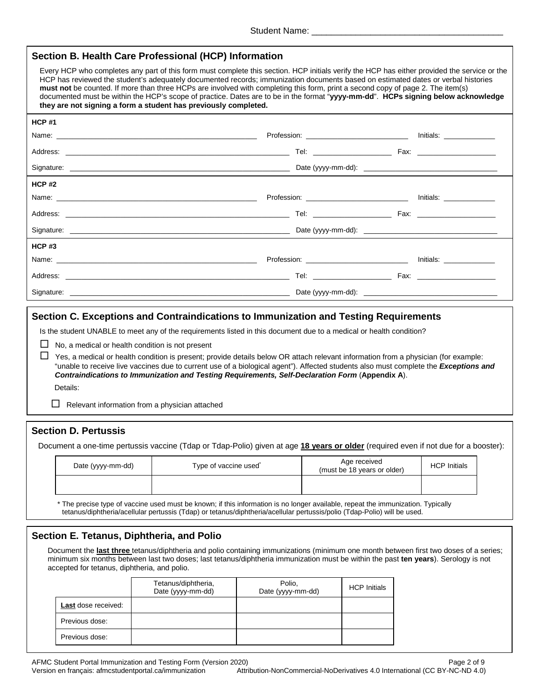| Section B. Health Care Professional (HCP) Information                                                                                                                                                                                                                                                                                                                                                                                                                                                                                                                                                                        |                                                                           |  |
|------------------------------------------------------------------------------------------------------------------------------------------------------------------------------------------------------------------------------------------------------------------------------------------------------------------------------------------------------------------------------------------------------------------------------------------------------------------------------------------------------------------------------------------------------------------------------------------------------------------------------|---------------------------------------------------------------------------|--|
| Every HCP who completes any part of this form must complete this section. HCP initials verify the HCP has either provided the service or the<br>HCP has reviewed the student's adequately documented records; immunization documents based on estimated dates or verbal histories<br>must not be counted. If more than three HCPs are involved with completing this form, print a second copy of page 2. The item(s)<br>documented must be within the HCP's scope of practice. Dates are to be in the format "yyyy-mm-dd". HCPs signing below acknowledge<br>they are not signing a form a student has previously completed. |                                                                           |  |
| <b>HCP#1</b>                                                                                                                                                                                                                                                                                                                                                                                                                                                                                                                                                                                                                 |                                                                           |  |
| Name: <u>example</u> and the contract of the contract of the contract of the contract of the contract of the contract of the contract of the contract of the contract of the contract of the contract of the contract of the contra                                                                                                                                                                                                                                                                                                                                                                                          | Profession: ______________________________ Initials: _____________        |  |
|                                                                                                                                                                                                                                                                                                                                                                                                                                                                                                                                                                                                                              |                                                                           |  |
|                                                                                                                                                                                                                                                                                                                                                                                                                                                                                                                                                                                                                              |                                                                           |  |
| HCP#2                                                                                                                                                                                                                                                                                                                                                                                                                                                                                                                                                                                                                        |                                                                           |  |
|                                                                                                                                                                                                                                                                                                                                                                                                                                                                                                                                                                                                                              |                                                                           |  |
|                                                                                                                                                                                                                                                                                                                                                                                                                                                                                                                                                                                                                              |                                                                           |  |
|                                                                                                                                                                                                                                                                                                                                                                                                                                                                                                                                                                                                                              |                                                                           |  |
| $HCP$ #3                                                                                                                                                                                                                                                                                                                                                                                                                                                                                                                                                                                                                     |                                                                           |  |
| Name: Name: Name: Name: Name: Name: Name: Name: Name: Name: Name: Name: Name: Name: Name: Name: Name: Name: Name: Name: Name: Name: Name: Name: Name: Name: Name: Name: Name: Name: Name: Name: Name: Name: Name: Name: Name:                                                                                                                                                                                                                                                                                                                                                                                                | Profession: __________________________________ Initials: ________________ |  |
|                                                                                                                                                                                                                                                                                                                                                                                                                                                                                                                                                                                                                              |                                                                           |  |
|                                                                                                                                                                                                                                                                                                                                                                                                                                                                                                                                                                                                                              |                                                                           |  |
| Section C. Exceptions and Contraindications to Immunization and Testing Requirements                                                                                                                                                                                                                                                                                                                                                                                                                                                                                                                                         |                                                                           |  |

Is the student UNABLE to meet any of the requirements listed in this document due to a medical or health condition?

 $\Box$  No, a medical or health condition is not present

 $\Box$  Yes, a medical or health condition is present; provide details below OR attach relevant information from a physician (for example: "unable to receive live vaccines due to current use of a biological agent"). Affected students also must complete the *Exceptions and Contraindications to Immunization and Testing Requirements, Self-Declaration Form* (**Appendix A**). Details:

 $\Box$  Relevant information from a physician attached

## **Section D. Pertussis**

Document a one-time pertussis vaccine (Tdap or Tdap-Polio) given at age **18 years or older** (required even if not due for a booster):

| Date (yyyy-mm-dd) | Type of vaccine used | Age received<br>(must be 18 years or older) | <b>HCP Initials</b> |
|-------------------|----------------------|---------------------------------------------|---------------------|
|                   |                      |                                             |                     |

 \* The precise type of vaccine used must be known; if this information is no longer available, repeat the immunization. Typically tetanus/diphtheria/acellular pertussis (Tdap) or tetanus/diphtheria/acellular pertussis/polio (Tdap-Polio) will be used.

## **Section E. Tetanus, Diphtheria, and Polio**

Document the **last three** tetanus/diphtheria and polio containing immunizations (minimum one month between first two doses of a series; minimum six months between last two doses; last tetanus/diphtheria immunization must be within the past **ten years**). Serology is not accepted for tetanus, diphtheria, and polio.

|                     | Tetanus/diphtheria,<br>Date (yyyy-mm-dd) | Polio,<br>Date (yyyy-mm-dd) | <b>HCP Initials</b> |
|---------------------|------------------------------------------|-----------------------------|---------------------|
| Last dose received: |                                          |                             |                     |
| Previous dose:      |                                          |                             |                     |
| Previous dose:      |                                          |                             |                     |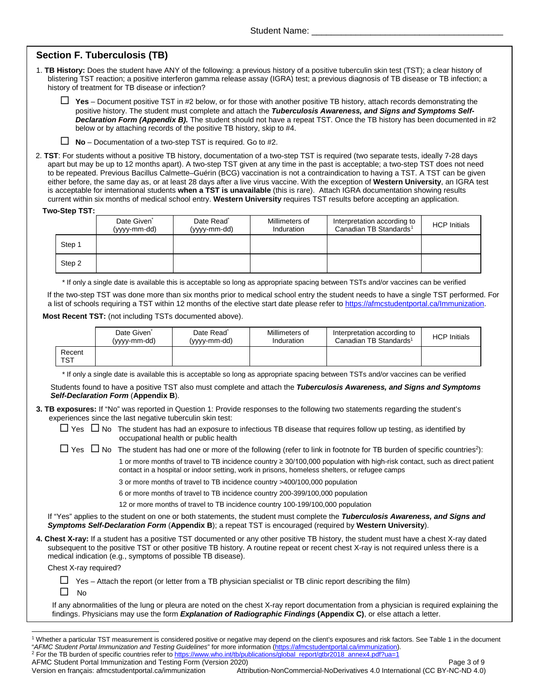# **Section F. Tuberculosis (TB)**

1. **TB History:** Does the student have ANY of the following: a previous history of a positive tuberculin skin test (TST); a clear history of blistering TST reaction; a positive interferon gamma release assay (IGRA) test; a previous diagnosis of TB disease or TB infection; a history of treatment for TB disease or infection?

 $\Box$  Yes – Document positive TST in #2 below, or for those with another positive TB history, attach records demonstrating the positive history. The student must complete and attach the *Tuberculosis Awareness, and Signs and Symptoms Self-Declaration Form (Appendix B).* The student should not have a repeat TST. Once the TB history has been documented in #2 below or by attaching records of the positive TB history, skip to #4.

**No** – Documentation of a two-step TST is required. Go to #2.

2. **TST**: For students without a positive TB history, documentation of a two-step TST is required (two separate tests, ideally 7-28 days apart but may be up to 12 months apart). A two-step TST given at any time in the past is acceptable; a two-step TST does not need to be repeated. Previous Bacillus Calmette–Guérin (BCG) vaccination is not a contraindication to having a TST. A TST can be given either before, the same day as, or at least 28 days after a live virus vaccine. With the exception of **Western University**, an IGRA test is acceptable for international students **when a TST is unavailable** (this is rare). Attach IGRA documentation showing results current within six months of medical school entry. **Western University** requires TST results before accepting an application.

#### **Two-Step TST:**

|        | Date Given <sup>*</sup><br>(yyyy-mm-dd) | Date Read <sup>*</sup><br>(yyyy-mm-dd) | Millimeters of<br>Induration | Interpretation according to<br>Canadian TB Standards <sup>1</sup> | <b>HCP</b> Initials |
|--------|-----------------------------------------|----------------------------------------|------------------------------|-------------------------------------------------------------------|---------------------|
| Step 1 |                                         |                                        |                              |                                                                   |                     |
| Step 2 |                                         |                                        |                              |                                                                   |                     |

\* If only a single date is available this is acceptable so long as appropriate spacing between TSTs and/or vaccines can be verified

If the two-step TST was done more than six months prior to medical school entry the student needs to have a single TST performed. For a list of schools requiring a TST within 12 months of the elective start date please refer to [https://afmcstudentportal.ca/Immunization.](https://afmcstudentportal.ca/Immunization)

#### **Most Recent TST:** (not including TSTs documented above).

|               | Date Given <sup>-</sup><br>(yyyy-mm-dd) | Date Read <sup>®</sup><br>(yyyy-mm-dd) | Millimeters of<br>Induration | Interpretation according to<br>Canadian TB Standards <sup>1</sup> | <b>HCP Initials</b> |
|---------------|-----------------------------------------|----------------------------------------|------------------------------|-------------------------------------------------------------------|---------------------|
| Recent<br>TST |                                         |                                        |                              |                                                                   |                     |

\* If only a single date is available this is acceptable so long as appropriate spacing between TSTs and/or vaccines can be verified

Students found to have a positive TST also must complete and attach the *Tuberculosis Awareness, and Signs and Symptoms Self-Declaration Form* (**Appendix B**).

**3. TB exposures:** If "No" was reported in Question 1: Provide responses to the following two statements regarding the student's experiences since the last negative tuberculin skin test:

|  | $\Box$ Yes $\Box$ No The student has had an exposure to infectious TB disease that requires follow up testing, as identified by |
|--|---------------------------------------------------------------------------------------------------------------------------------|
|  | occupational health or public health                                                                                            |

 $\Box$  Yes  $\Box$  No The student has had one or more of the following (refer to link in footnote for TB burden of specific countries<sup>2</sup>):

1 or more months of travel to TB incidence country ≥ 30/100,000 population with high-risk contact, such as direct patient contact in a hospital or indoor setting, work in prisons, homeless shelters, or refugee camps

3 or more months of travel to TB incidence country >400/100,000 population

6 or more months of travel to TB incidence country 200-399/100,000 population

12 or more months of travel to TB incidence country 100-199/100,000 population

If "Yes" applies to the student on one or both statements, the student must complete the *Tuberculosis Awareness, and Signs and Symptoms Self-Declaration Form* (**Appendix B**); a repeat TST is encouraged (required by **Western University**).

**4. Chest X-ray:** If a student has a positive TST documented or any other positive TB history, the student must have a chest X-ray dated subsequent to the positive TST or other positive TB history. A routine repeat or recent chest X-ray is not required unless there is a medical indication (e.g., symptoms of possible TB disease).

Chest X-ray required?

 $\Box$  Yes – Attach the report (or letter from a TB physician specialist or TB clinic report describing the film)

 $\square$  No

If any abnormalities of the lung or pleura are noted on the chest X-ray report documentation from a physician is required explaining the findings. Physicians may use the form *Explanation of Radiographic Findings* **(Appendix C)**, or else attach a letter.

<span id="page-2-0"></span><sup>&</sup>lt;sup>1</sup> Whether a particular TST measurement is considered positive or negative may depend on the client's exposures and risk factors. See Table 1 in the document "AFMC Student Portal Immunization and Testing Guidelines" for m <sup>2</sup> For the TB burden of specific countries refer t[o https://www.who.int/tb/publications/global\\_report/gtbr2018\\_annex4.pdf?ua=1](https://www.who.int/tb/publications/global_report/gtbr2018_annex4.pdf?ua=1)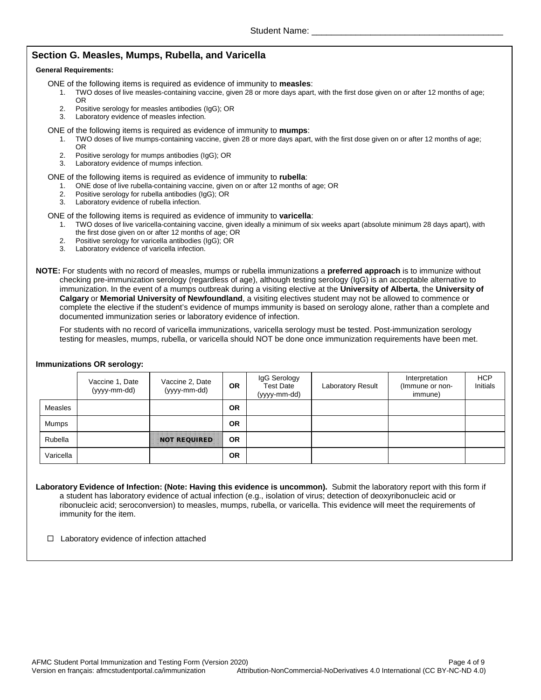## **Section G. Measles, Mumps, Rubella, and Varicella**

#### **General Requirements:**

- ONE of the following items is required as evidence of immunity to **measles**:
	- 1. TWO doses of live measles-containing vaccine, given 28 or more days apart, with the first dose given on or after 12 months of age; OR
	- 2. Positive serology for measles antibodies (IgG); OR<br>3. Laboratory evidence of measles infection.
	- Laboratory evidence of measles infection.

#### ONE of the following items is required as evidence of immunity to **mumps**:

- 1. TWO doses of live mumps-containing vaccine, given 28 or more days apart, with the first dose given on or after 12 months of age; OR
- 2. Positive serology for mumps antibodies (IgG); OR<br>3. Laboratory evidence of mumps infection.
- Laboratory evidence of mumps infection.

#### ONE of the following items is required as evidence of immunity to **rubella**:

- 1. ONE dose of live rubella-containing vaccine, given on or after 12 months of age; OR<br>2. Positive serology for rubella antibodies (IgG): OR
- 2. Positive serology for rubella antibodies (IgG); OR
- 3. Laboratory evidence of rubella infection.

#### ONE of the following items is required as evidence of immunity to **varicella**:

- 1. TWO doses of live varicella-containing vaccine, given ideally a minimum of six weeks apart (absolute minimum 28 days apart), with the first dose given on or after 12 months of age; OR
- 2. Positive serology for varicella antibodies (IgG); OR
- 3. Laboratory evidence of varicella infection.

**NOTE:** For students with no record of measles, mumps or rubella immunizations a **preferred approach** is to immunize without checking pre-immunization serology (regardless of age), although testing serology (IgG) is an acceptable alternative to immunization. In the event of a mumps outbreak during a visiting elective at the **University of Alberta**, the **University of Calgary** or **Memorial University of Newfoundland**, a visiting electives student may not be allowed to commence or complete the elective if the student's evidence of mumps immunity is based on serology alone, rather than a complete and documented immunization series or laboratory evidence of infection.

For students with no record of varicella immunizations, varicella serology must be tested. Post-immunization serology testing for measles, mumps, rubella, or varicella should NOT be done once immunization requirements have been met.

### **Immunizations OR serology:**

|              | Vaccine 1, Date<br>(yyyy-mm-dd) | Vaccine 2, Date<br>(yyyy-mm-dd) | OR.       | IgG Serology<br>Test Date<br>(yyyy-mm-dd) | Laboratory Result | Interpretation<br>(Immune or non-<br>immune) | <b>HCP</b><br>Initials |
|--------------|---------------------------------|---------------------------------|-----------|-------------------------------------------|-------------------|----------------------------------------------|------------------------|
| Measles      |                                 |                                 | <b>OR</b> |                                           |                   |                                              |                        |
| <b>Mumps</b> |                                 |                                 | <b>OR</b> |                                           |                   |                                              |                        |
| Rubella      |                                 | <b>NOT REQUIRED.</b>            | <b>OR</b> |                                           |                   |                                              |                        |
| Varicella    |                                 |                                 | <b>OR</b> |                                           |                   |                                              |                        |

**Laboratory Evidence of Infection: (Note: Having this evidence is uncommon).** Submit the laboratory report with this form if a student has laboratory evidence of actual infection (e.g., isolation of virus; detection of deoxyribonucleic acid or ribonucleic acid; seroconversion) to measles, mumps, rubella, or varicella. This evidence will meet the requirements of immunity for the item.

 $\Box$  Laboratory evidence of infection attached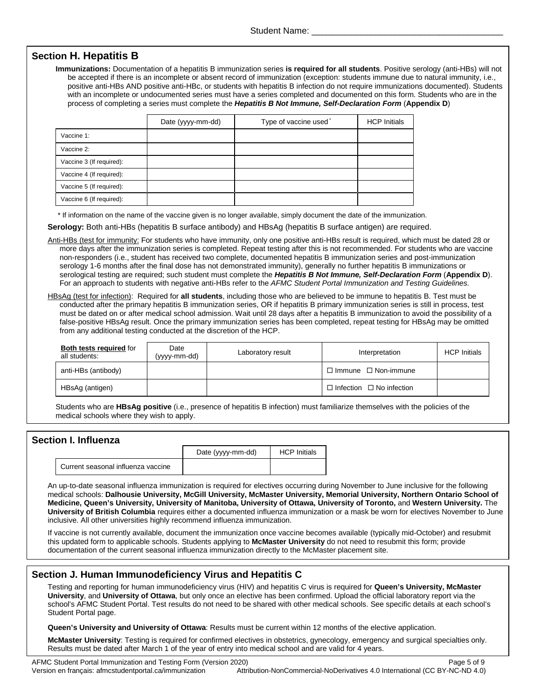## **Section H. Hepatitis B**

**Immunizations:** Documentation of a hepatitis B immunization series **is required for all students**. Positive serology (anti-HBs) will not be accepted if there is an incomplete or absent record of immunization (exception: students immune due to natural immunity, i.e., positive anti-HBs AND positive anti-HBc, or students with hepatitis B infection do not require immunizations documented). Students with an incomplete or undocumented series must have a series completed and documented on this form. Students who are in the process of completing a series must complete the *Hepatitis B Not Immune, Self-Declaration Form* (**Appendix D**)

|                          | Date (yyyy-mm-dd) | Type of vaccine used <sup>*</sup> | <b>HCP Initials</b> |
|--------------------------|-------------------|-----------------------------------|---------------------|
| Vaccine 1:               |                   |                                   |                     |
| Vaccine 2:               |                   |                                   |                     |
| Vaccine 3 (If required): |                   |                                   |                     |
| Vaccine 4 (If required): |                   |                                   |                     |
| Vaccine 5 (If required): |                   |                                   |                     |
| Vaccine 6 (If required): |                   |                                   |                     |

\* If information on the name of the vaccine given is no longer available, simply document the date of the immunization.

**Serology:** Both anti-HBs (hepatitis B surface antibody) and HBsAg (hepatitis B surface antigen) are required.

Anti-HBs (test for immunity: For students who have immunity, only one positive anti-HBs result is required, which must be dated 28 or more days after the immunization series is completed. Repeat testing after this is not recommended. For students who are vaccine non-responders (i.e., student has received two complete, documented hepatitis B immunization series and post-immunization serology 1-6 months after the final dose has not demonstrated immunity), generally no further hepatitis B immunizations or serological testing are required; such student must complete the *Hepatitis B Not Immune, Self-Declaration Form* (**Appendix D**). For an approach to students with negative anti-HBs refer to the *AFMC Student Portal Immunization and Testing Guidelines.*

HBsAg (test for infection): Required for **all students**, including those who are believed to be immune to hepatitis B. Test must be conducted after the primary hepatitis B immunization series, OR if hepatitis B primary immunization series is still in process, test must be dated on or after medical school admission. Wait until 28 days after a hepatitis B immunization to avoid the possibility of a false-positive HBsAg result. Once the primary immunization series has been completed, repeat testing for HBsAg may be omitted from any additional testing conducted at the discretion of the HCP.

| <b>Both tests required for</b><br>all students: | Date<br>(vyyy-mm-dd) | Laboratory result | Interpretation                       | <b>HCP Initials</b> |
|-------------------------------------------------|----------------------|-------------------|--------------------------------------|---------------------|
| anti-HBs (antibody)                             |                      |                   | $\Box$ Immune $\Box$ Non-immune      |                     |
| HBsAg (antigen)                                 |                      |                   | $\Box$ Infection $\Box$ No infection |                     |

Students who are **HBsAg positive** (i.e., presence of hepatitis B infection) must familiarize themselves with the policies of the medical schools where they wish to apply.

### **Section I. Influenza**

|                                    | Date (yyyy-mm-dd) | <b>HCP</b> Initials |
|------------------------------------|-------------------|---------------------|
| Current seasonal influenza vaccine |                   |                     |

An up-to-date seasonal influenza immunization is required for electives occurring during November to June inclusive for the following medical schools: **Dalhousie University, McGill University, McMaster University, Memorial University, Northern Ontario School of Medicine, Queen's University, University of Manitoba, University of Ottawa, University of Toronto,** and **Western University.** The **University of British Columbia** requires either a documented influenza immunization or a mask be worn for electives November to June inclusive. All other universities highly recommend influenza immunization.

If vaccine is not currently available, document the immunization once vaccine becomes available (typically mid-October) and resubmit this updated form to applicable schools. Students applying to **McMaster University** do not need to resubmit this form; provide documentation of the current seasonal influenza immunization directly to the McMaster placement site.

### **Section J. Human Immunodeficiency Virus and Hepatitis C**

Testing and reporting for human immunodeficiency virus (HIV) and hepatitis C virus is required for **Queen's University, McMaster University**, and **University of Ottawa**, but only once an elective has been confirmed. Upload the official laboratory report via the school's AFMC Student Portal. Test results do not need to be shared with other medical schools. See specific details at each school's Student Portal page.

**Queen's University and University of Ottawa**: Results must be current within 12 months of the elective application.

**McMaster University**: Testing is required for confirmed electives in obstetrics, gynecology, emergency and surgical specialties only. Results must be dated after March 1 of the year of entry into medical school and are valid for 4 years.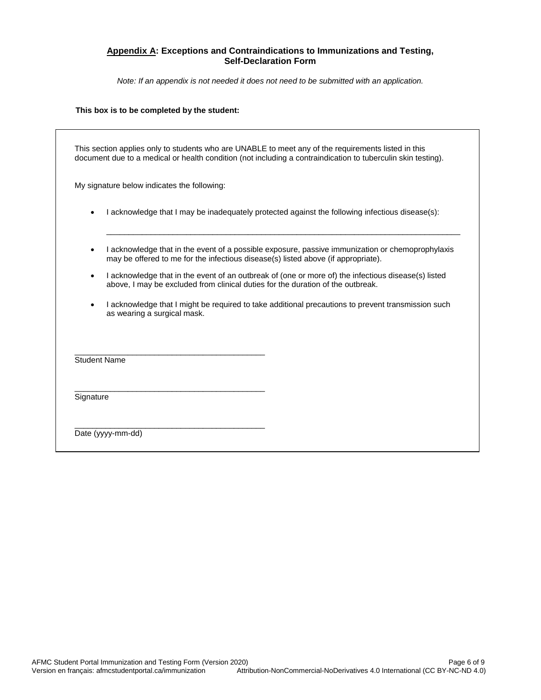### **Appendix A: Exceptions and Contraindications to Immunizations and Testing, Self-Declaration Form**

*Note: If an appendix is not needed it does not need to be submitted with an application.*

### **This box is to be completed by the student:**

|           | document due to a medical or health condition (not including a contraindication to tuberculin skin testing).<br>My signature below indicates the following:                            |
|-----------|----------------------------------------------------------------------------------------------------------------------------------------------------------------------------------------|
|           | I acknowledge that I may be inadequately protected against the following infectious disease(s):                                                                                        |
| $\bullet$ | I acknowledge that in the event of a possible exposure, passive immunization or chemoprophylaxis<br>may be offered to me for the infectious disease(s) listed above (if appropriate).  |
| $\bullet$ | I acknowledge that in the event of an outbreak of (one or more of) the infectious disease(s) listed<br>above, I may be excluded from clinical duties for the duration of the outbreak. |
| $\bullet$ | I acknowledge that I might be required to take additional precautions to prevent transmission such<br>as wearing a surgical mask.                                                      |
|           | <b>Student Name</b>                                                                                                                                                                    |
| Signature |                                                                                                                                                                                        |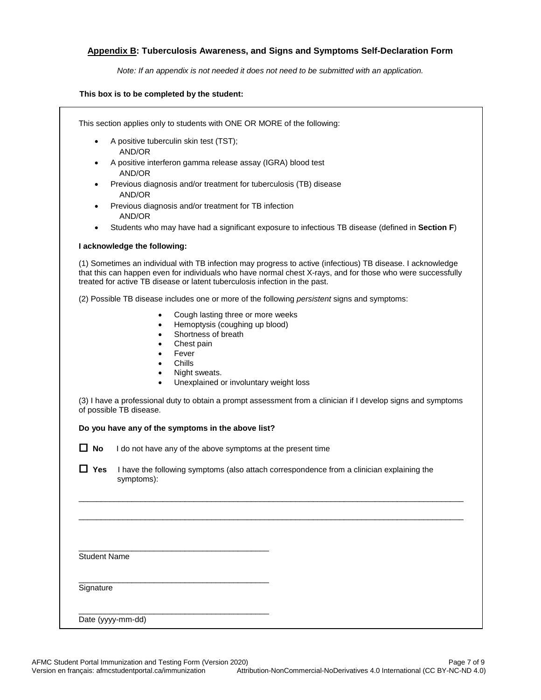### **Appendix B: Tuberculosis Awareness, and Signs and Symptoms Self-Declaration Form**

*Note: If an appendix is not needed it does not need to be submitted with an application.*

#### **This box is to be completed by the student:**

This section applies only to students with ONE OR MORE of the following:

- A positive tuberculin skin test (TST); AND/OR
- A positive interferon gamma release assay (IGRA) blood test AND/OR
- Previous diagnosis and/or treatment for tuberculosis (TB) disease AND/OR
- Previous diagnosis and/or treatment for TB infection AND/OR
- Students who may have had a significant exposure to infectious TB disease (defined in **Section F**)

#### **I acknowledge the following:**

(1) Sometimes an individual with TB infection may progress to active (infectious) TB disease. I acknowledge that this can happen even for individuals who have normal chest X-rays, and for those who were successfully treated for active TB disease or latent tuberculosis infection in the past.

(2) Possible TB disease includes one or more of the following *persistent* signs and symptoms:

- Cough lasting three or more weeks
- Hemoptysis (coughing up blood)
- Shortness of breath
- Chest pain
- **Fever**
- Chills
- Night sweats.
- Unexplained or involuntary weight loss

(3) I have a professional duty to obtain a prompt assessment from a clinician if I develop signs and symptoms of possible TB disease.

### **Do you have any of the symptoms in the above list?**

\_\_\_\_\_\_\_\_\_\_\_\_\_\_\_\_\_\_\_\_\_\_\_\_\_\_\_\_\_\_\_\_\_\_\_\_\_\_\_\_\_\_\_

\_\_\_\_\_\_\_\_\_\_\_\_\_\_\_\_\_\_\_\_\_\_\_\_\_\_\_\_\_\_\_\_\_\_\_\_\_\_\_\_\_\_\_

\_\_\_\_\_\_\_\_\_\_\_\_\_\_\_\_\_\_\_\_\_\_\_\_\_\_\_\_\_\_\_\_\_\_\_\_\_\_\_\_\_\_\_

**No** I do not have any of the above symptoms at the present time

■ Yes I have the following symptoms (also attach correspondence from a clinician explaining the symptoms):

\_\_\_\_\_\_\_\_\_\_\_\_\_\_\_\_\_\_\_\_\_\_\_\_\_\_\_\_\_\_\_\_\_\_\_\_\_\_\_\_\_\_\_\_\_\_\_\_\_\_\_\_\_\_\_\_\_\_\_\_\_\_\_\_\_\_\_\_\_\_\_\_\_\_\_\_\_\_\_\_\_\_\_\_\_\_\_

\_\_\_\_\_\_\_\_\_\_\_\_\_\_\_\_\_\_\_\_\_\_\_\_\_\_\_\_\_\_\_\_\_\_\_\_\_\_\_\_\_\_\_\_\_\_\_\_\_\_\_\_\_\_\_\_\_\_\_\_\_\_\_\_\_\_\_\_\_\_\_\_\_\_\_\_\_\_\_\_\_\_\_\_\_\_\_

Student Name

**Signature** 

Date (yyyy-mm-dd)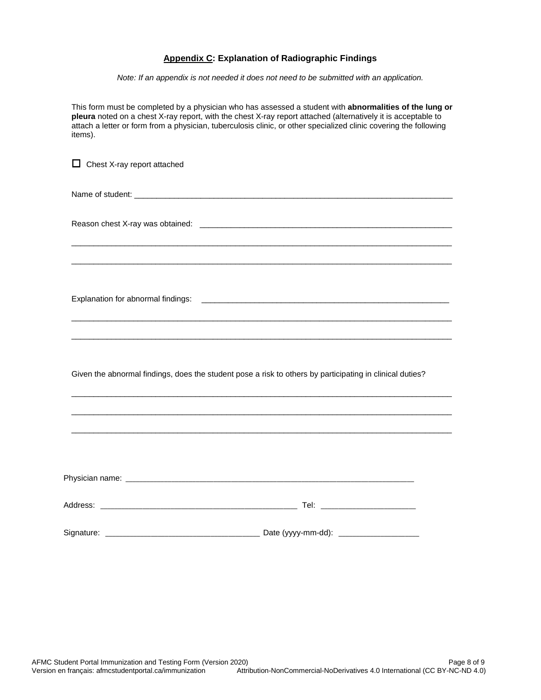### **Appendix C: Explanation of Radiographic Findings**

*Note: If an appendix is not needed it does not need to be submitted with an application.*

This form must be completed by a physician who has assessed a student with **abnormalities of the lung or pleura** noted on a chest X-ray report, with the chest X-ray report attached (alternatively it is acceptable to attach a letter or form from a physician, tuberculosis clinic, or other specialized clinic covering the following items).

 $\Box$  Chest X-ray report attached Name of student: \_\_\_\_\_\_\_\_\_\_\_\_\_\_\_\_\_\_\_\_\_\_\_\_\_\_\_\_\_\_\_\_\_\_\_\_\_\_\_\_\_\_\_\_\_\_\_\_\_\_\_\_\_\_\_\_\_\_\_\_\_\_\_\_\_\_\_\_\_\_\_\_ Reason chest X-ray was obtained: \_\_\_\_\_\_\_\_\_\_\_\_\_\_\_\_\_\_\_\_\_\_\_\_\_\_\_\_\_\_\_\_\_\_\_\_\_\_\_\_\_\_\_\_\_\_\_\_\_\_\_\_\_\_\_\_\_\_\_\_\_\_\_\_\_\_\_\_\_\_\_\_\_\_\_\_\_\_\_\_\_\_\_\_\_\_ \_\_\_\_\_\_\_\_\_\_\_\_\_\_\_\_\_\_\_\_\_\_\_\_\_\_\_\_\_\_\_\_\_\_\_\_\_\_\_\_\_\_\_\_\_\_\_\_\_\_\_\_\_\_\_\_\_\_\_\_\_\_\_\_\_\_\_\_\_\_\_\_\_\_\_\_\_\_\_\_\_\_\_\_\_\_ Explanation for abnormal findings: \_\_ \_\_\_\_\_\_\_\_\_\_\_\_\_\_\_\_\_\_\_\_\_\_\_\_\_\_\_\_\_\_\_\_\_\_\_\_\_\_\_\_\_\_\_\_\_\_\_\_\_\_\_\_\_\_\_\_\_\_\_\_\_\_\_\_\_\_\_\_\_\_\_\_\_\_\_\_\_\_\_\_\_\_\_\_\_\_ \_\_\_\_\_\_\_\_\_\_\_\_\_\_\_\_\_\_\_\_\_\_\_\_\_\_\_\_\_\_\_\_\_\_\_\_\_\_\_\_\_\_\_\_\_\_\_\_\_\_\_\_\_\_\_\_\_\_\_\_\_\_\_\_\_\_\_\_\_\_\_\_\_\_\_\_\_\_\_\_\_\_\_\_\_\_ Given the abnormal findings, does the student pose a risk to others by participating in clinical duties? \_\_\_\_\_\_\_\_\_\_\_\_\_\_\_\_\_\_\_\_\_\_\_\_\_\_\_\_\_\_\_\_\_\_\_\_\_\_\_\_\_\_\_\_\_\_\_\_\_\_\_\_\_\_\_\_\_\_\_\_\_\_\_\_\_\_\_\_\_\_\_\_\_\_\_\_\_\_\_\_\_\_\_\_\_\_ \_\_\_\_\_\_\_\_\_\_\_\_\_\_\_\_\_\_\_\_\_\_\_\_\_\_\_\_\_\_\_\_\_\_\_\_\_\_\_\_\_\_\_\_\_\_\_\_\_\_\_\_\_\_\_\_\_\_\_\_\_\_\_\_\_\_\_\_\_\_\_\_\_\_\_\_\_\_\_\_\_\_\_\_\_\_ \_\_\_\_\_\_\_\_\_\_\_\_\_\_\_\_\_\_\_\_\_\_\_\_\_\_\_\_\_\_\_\_\_\_\_\_\_\_\_\_\_\_\_\_\_\_\_\_\_\_\_\_\_\_\_\_\_\_\_\_\_\_\_\_\_\_\_\_\_\_\_\_\_\_\_\_\_\_\_\_\_\_\_\_\_\_ Physician name: **Example 20** and  $\overline{a}$  and  $\overline{b}$  and  $\overline{c}$  and  $\overline{d}$  and  $\overline{c}$  and  $\overline{d}$  and  $\overline{c}$  and  $\overline{c}$  and  $\overline{c}$  and  $\overline{c}$  and  $\overline{c}$  and  $\overline{c}$  and  $\overline{c}$  and  $\overline{c}$  and  $\overline{c}$ Address: \_\_\_\_\_\_\_\_\_\_\_\_\_\_\_\_\_\_\_\_\_\_\_\_\_\_\_\_\_\_\_\_\_\_\_\_\_\_\_\_\_\_\_\_\_\_\_\_\_\_\_\_\_\_\_\_ Tel: \_\_\_\_\_\_\_\_\_\_\_\_\_\_\_\_\_\_\_\_\_\_\_\_\_\_\_ Signature: \_\_\_\_\_\_\_\_\_\_\_\_\_\_\_\_\_\_\_\_\_\_\_\_\_\_\_\_\_\_\_\_\_\_\_\_\_\_\_\_\_\_\_\_ Date (yyyy-mm-dd): \_\_\_\_\_\_\_\_\_\_\_\_\_\_\_\_\_\_\_\_\_\_\_